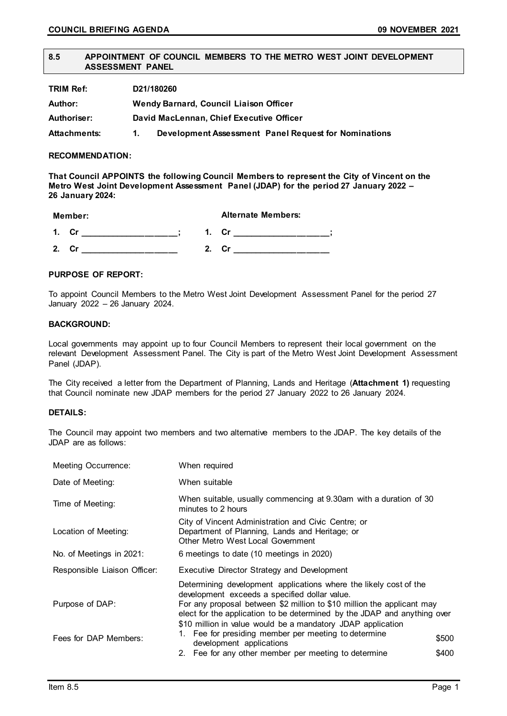### **8.5 APPOINTMENT OF COUNCIL MEMBERS TO THE METRO WEST JOINT DEVELOPMENT ASSESSMENT PANEL**

| TRIM Ref:           | D21/180260 |                                                      |
|---------------------|------------|------------------------------------------------------|
| Author:             |            | Wendy Barnard, Council Liaison Officer               |
| Authoriser:         |            | David MacLennan, Chief Executive Officer             |
| <b>Attachments:</b> | 1.         | Development Assessment Panel Request for Nominations |

### **RECOMMENDATION:**

**That Council APPOINTS the following Council Members to represent the City of Vincent on the Metro West Joint Development Assessment Panel (JDAP) for the period 27 January 2022 – 26 January 2024:**

| Member:              |    |    | <b>Alternate Members:</b> |  |
|----------------------|----|----|---------------------------|--|
| $\blacktriangleleft$ | Cr | 1. |                           |  |
| 2                    | Сr | 2  | .Cr                       |  |

# **PURPOSE OF REPORT:**

To appoint Council Members to the Metro West Joint Development Assessment Panel for the period 27 January 2022 – 26 January 2024.

# **BACKGROUND:**

Local governments may appoint up to four Council Members to represent their local government on the relevant Development Assessment Panel. The City is part of the Metro West Joint Development Assessment Panel (JDAP).

The City received a letter from the Department of Planning, Lands and Heritage (**Attachment 1)** requesting that Council nominate new JDAP members for the period 27 January 2022 to 26 January 2024.

### **DETAILS:**

The Council may appoint two members and two alternative members to the JDAP. The key details of the JDAP are as follows:

| <b>Meeting Occurrence:</b>   | When required                                                                                                                                                                                                                                                                                                                           |       |
|------------------------------|-----------------------------------------------------------------------------------------------------------------------------------------------------------------------------------------------------------------------------------------------------------------------------------------------------------------------------------------|-------|
| Date of Meeting:             | When suitable                                                                                                                                                                                                                                                                                                                           |       |
| Time of Meeting:             | When suitable, usually commencing at 9.30am with a duration of 30<br>minutes to 2 hours                                                                                                                                                                                                                                                 |       |
| Location of Meeting:         | City of Vincent Administration and Civic Centre; or<br>Department of Planning, Lands and Heritage; or<br>Other Metro West Local Government                                                                                                                                                                                              |       |
| No. of Meetings in 2021:     | 6 meetings to date (10 meetings in 2020)                                                                                                                                                                                                                                                                                                |       |
| Responsible Liaison Officer: | Executive Director Strategy and Development                                                                                                                                                                                                                                                                                             |       |
| Purpose of DAP:              | Determining development applications where the likely cost of the<br>development exceeds a specified dollar value.<br>For any proposal between \$2 million to \$10 million the applicant may<br>elect for the application to be determined by the JDAP and anything over<br>\$10 million in value would be a mandatory JDAP application |       |
| Fees for DAP Members:        | Fee for presiding member per meeting to determine<br>development applications                                                                                                                                                                                                                                                           | \$500 |
|                              | 2. Fee for any other member per meeting to determine                                                                                                                                                                                                                                                                                    | \$400 |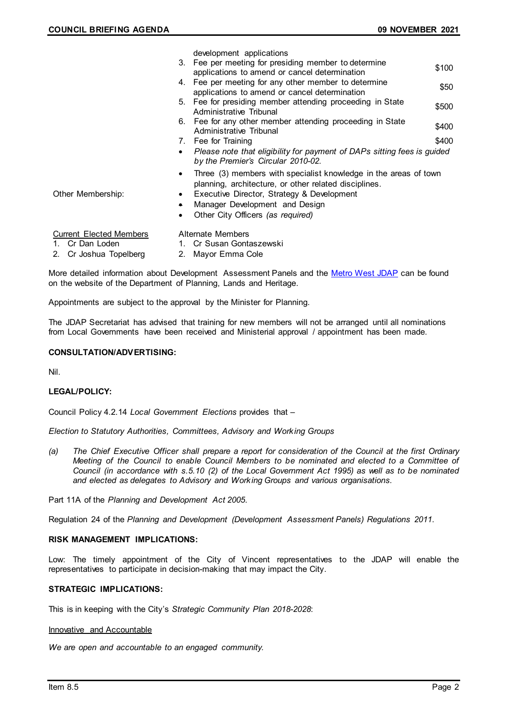|                                |           | development applications                                                                                                  |       |
|--------------------------------|-----------|---------------------------------------------------------------------------------------------------------------------------|-------|
|                                | 3.        | Fee per meeting for presiding member to determine<br>applications to amend or cancel determination                        | \$100 |
|                                | 4.        | Fee per meeting for any other member to determine<br>applications to amend or cancel determination                        | \$50  |
|                                |           | 5. Fee for presiding member attending proceeding in State<br>Administrative Tribunal                                      | \$500 |
|                                | 6.        | Fee for any other member attending proceeding in State<br>Administrative Tribunal                                         | \$400 |
|                                | 7.        | Fee for Training                                                                                                          | \$400 |
|                                | $\bullet$ | Please note that eligibility for payment of DAPs sitting fees is guided<br>by the Premier's Circular 2010-02.             |       |
|                                | $\bullet$ | Three (3) members with specialist knowledge in the areas of town<br>planning, architecture, or other related disciplines. |       |
| Other Membership:              | $\bullet$ | Executive Director, Strategy & Development                                                                                |       |
|                                | ۰         | Manager Development and Design                                                                                            |       |
|                                | ٠         | Other City Officers (as required)                                                                                         |       |
| <b>Current Elected Members</b> |           | <b>Alternate Members</b>                                                                                                  |       |
| 1. Cr Dan Loden                |           | 1. Cr Susan Gontaszewski                                                                                                  |       |
|                                |           |                                                                                                                           |       |

2. Cr Joshua Topelberg 2. Mayor Emma Cole

More detailed information about Development Assessment Panels and the [Metro West JDAP](https://www.planning.wa.gov.au/Metro-West-JDAP.asp) can be found on the website of the Department of Planning, Lands and Heritage.

Appointments are subject to the approval by the Minister for Planning.

The JDAP Secretariat has advised that training for new members will not be arranged until all nominations from Local Governments have been received and Ministerial approval / appointment has been made.

# **CONSULTATION/ADVERTISING:**

Nil.

### **LEGAL/POLICY:**

Council Policy 4.2.14 *Local Government Elections* provides that –

*Election to Statutory Authorities, Committees, Advisory and Working Groups*

*(a) The Chief Executive Officer shall prepare a report for consideration of the Council at the first Ordinary Meeting of the Council to enable Council Members to be nominated and elected to a Committee of Council (in accordance with s.5.10 (2) of the Local Government Act 1995) as well as to be nominated and elected as delegates to Advisory and Working Groups and various organisations.*

Part 11A of the *Planning and Development Act 2005*.

Regulation 24 of the *Planning and Development (Development Assessment Panels) Regulations 2011*.

### **RISK MANAGEMENT IMPLICATIONS:**

Low: The timely appointment of the City of Vincent representatives to the JDAP will enable the representatives to participate in decision-making that may impact the City.

### **STRATEGIC IMPLICATIONS:**

This is in keeping with the City's *Strategic Community Plan 2018-2028*:

#### Innovative and Accountable

*We are open and accountable to an engaged community.*